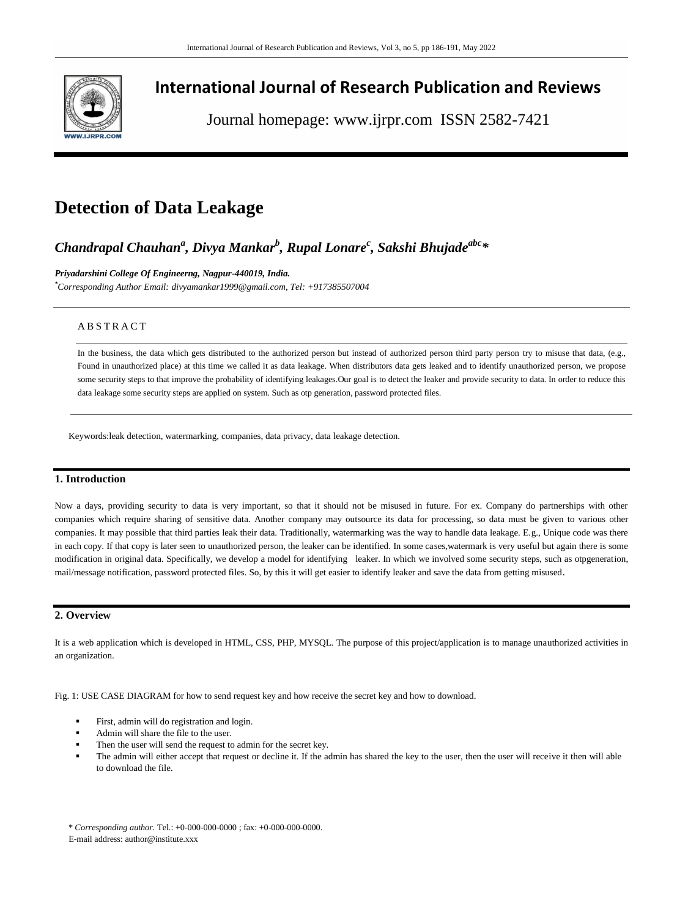

# **International Journal of Research Publication and Reviews**

Journal homepage: www.ijrpr.com ISSN 2582-7421

# **Detection of Data Leakage**

# *Chandrapal Chauhan<sup>a</sup> , Divya Mankar<sup>b</sup> , Rupal Lonare<sup>c</sup> , Sakshi Bhujadeabc\**

*Priyadarshini College Of Engineerng, Nagpur-440019, India.*

*\*Corresponding Author Email[: divyamankar1999@gmail.com,](mailto:divyamankar1999@gmail.com) Tel: +917385507004*

## A B S T R A C T

In the business, the data which gets distributed to the authorized person but instead of authorized person third party person try to misuse that data, (e.g., Found in unauthorized place) at this time we called it as data leakage. When distributors data gets leaked and to identify unauthorized person, we propose some security steps to that improve the probability of identifying leakages.Our goal is to detect the leaker and provide security to data. In order to reduce this data leakage some security steps are applied on system. Such as otp generation, password protected files.

Keywords:leak detection, watermarking, companies, data privacy, data leakage detection.

### **1. Introduction**

Now a days, providing security to data is very important, so that it should not be misused in future. For ex. Company do partnerships with other companies which require sharing of sensitive data. Another company may outsource its data for processing, so data must be given to various other companies. It may possible that third parties leak their data. Traditionally, watermarking was the way to handle data leakage. E.g., Unique code was there in each copy. If that copy is later seen to unauthorized person, the leaker can be identified. In some cases,watermark is very useful but again there is some modification in original data. Specifically, we develop a model for identifying leaker. In which we involved some security steps, such as otpgeneration, mail/message notification, password protected files. So, by this it will get easier to identify leaker and save the data from getting misused.

# **2. Overview**

It is a web application which is developed in HTML, CSS, PHP, MYSQL. The purpose of this project/application is to manage unauthorized activities in an organization.

Fig. 1: USE CASE DIAGRAM for how to send request key and how receive the secret key and how to download.

- First, admin will do registration and login.
- Admin will share the file to the user.
- Then the user will send the request to admin for the secret key.
- The admin will either accept that request or decline it. If the admin has shared the key to the user, then the user will receive it then will able to download the file.

\* *Corresponding author.* Tel.: +0-000-000-0000 ; fax: +0-000-000-0000.

E-mail address: author@institute.xxx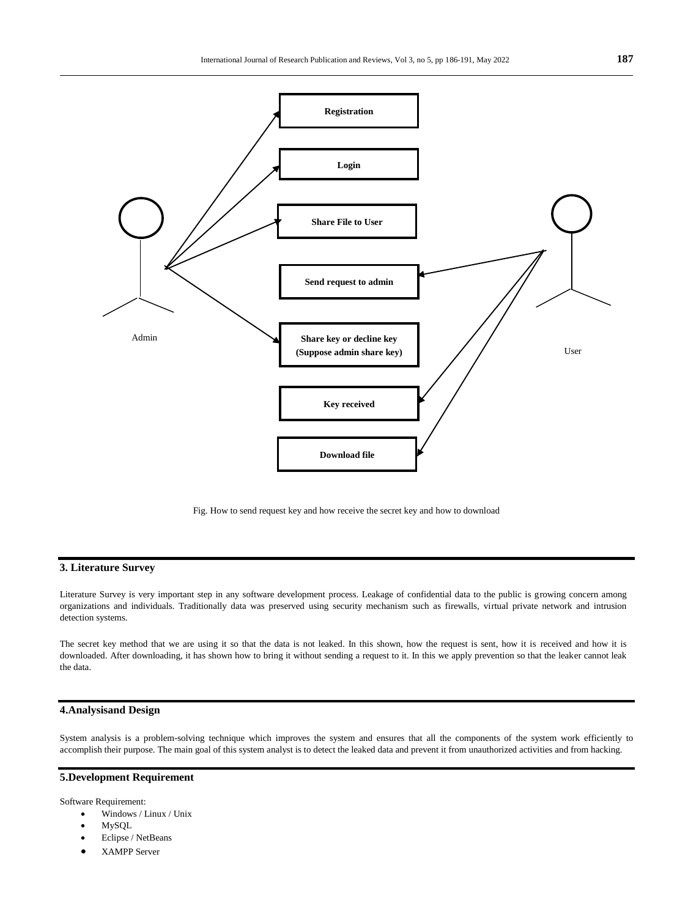

Fig. How to send request key and how receive the secret key and how to download

### **3. Literature Survey**

Literature Survey is very important step in any software development process. Leakage of confidential data to the public is growing concern among organizations and individuals. Traditionally data was preserved using security mechanism such as firewalls, virtual private network and intrusion detection systems.

The secret key method that we are using it so that the data is not leaked. In this shown, how the request is sent, how it is received and how it is downloaded. After downloading, it has shown how to bring it without sending a request to it. In this we apply prevention so that the leaker cannot leak the data.

# **4.Analysisand Design**

System analysis is a problem-solving technique which improves the system and ensures that all the components of the system work efficiently to accomplish their purpose. The main goal of this system analyst is to detect the leaked data and prevent it from unauthorized activities and from hacking.

# **5.Development Requirement**

Software Requirement:

- Windows / Linux / Unix
- MySQL
- Eclipse / NetBeans
- XAMPP Server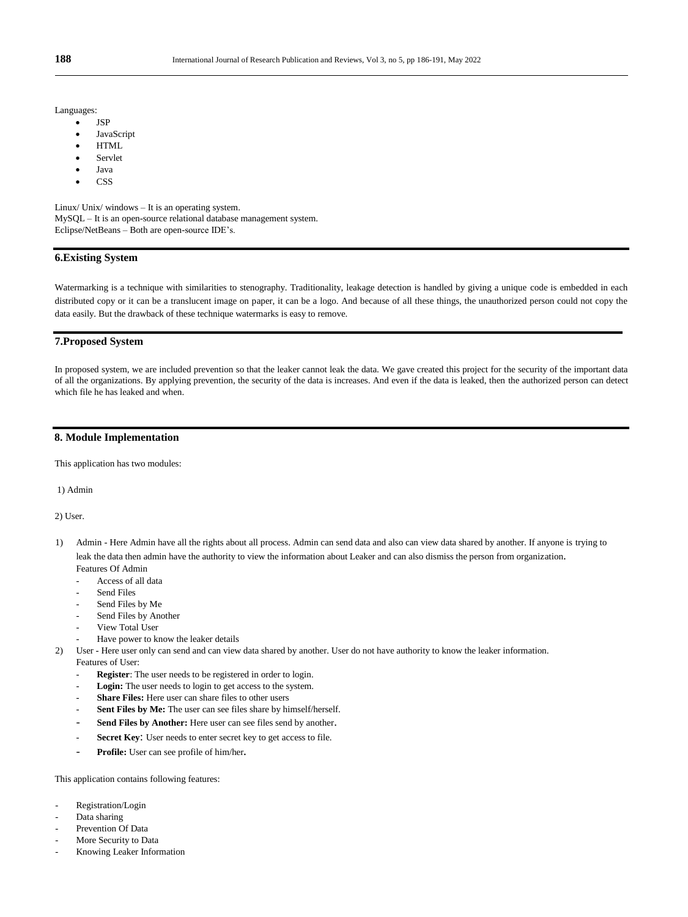Languages:

- JSP
- JavaScript
- HTML
- Servlet
- Java
- **CSS**

Linux/ Unix/ windows – It is an operating system. MySQL – It is an open-source relational database management system. Eclipse/NetBeans – Both are open-source IDE's.

### **6.Existing System**

Watermarking is a technique with similarities to stenography. Traditionality, leakage detection is handled by giving a unique code is embedded in each distributed copy or it can be a translucent image on paper, it can be a logo. And because of all these things, the unauthorized person could not copy the data easily. But the drawback of these technique watermarks is easy to remove.

#### **7.Proposed System**

In proposed system, we are included prevention so that the leaker cannot leak the data. We gave created this project for the security of the important data of all the organizations. By applying prevention, the security of the data is increases. And even if the data is leaked, then the authorized person can detect which file he has leaked and when.

#### **8. Module Implementation**

This application has two modules:

1) Admin

2) User.

- 1) Admin Here Admin have all the rights about all process. Admin can send data and also can view data shared by another. If anyone is trying to leak the data then admin have the authority to view the information about Leaker and can also dismiss the person from organization. Features Of Admin
	- Access of all data
	- Send Files
	- Send Files by Me
	- Send Files by Another
	- View Total User
	- Have power to know the leaker details
- 2) User Here user only can send and can view data shared by another. User do not have authority to know the leaker information. Features of User:
	- Register: The user needs to be registered in order to login.
	- Login: The user needs to login to get access to the system.
	- Share Files: Here user can share files to other users
	- Sent Files by Me: The user can see files share by himself/herself.
	- Send Files by Another: Here user can see files send by another.
	- Secret Key: User needs to enter secret key to get access to file.
	- **Profile:** User can see profile of him/her**.**

This application contains following features:

- Registration/Login
- Data sharing
- Prevention Of Data
- More Security to Data
- Knowing Leaker Information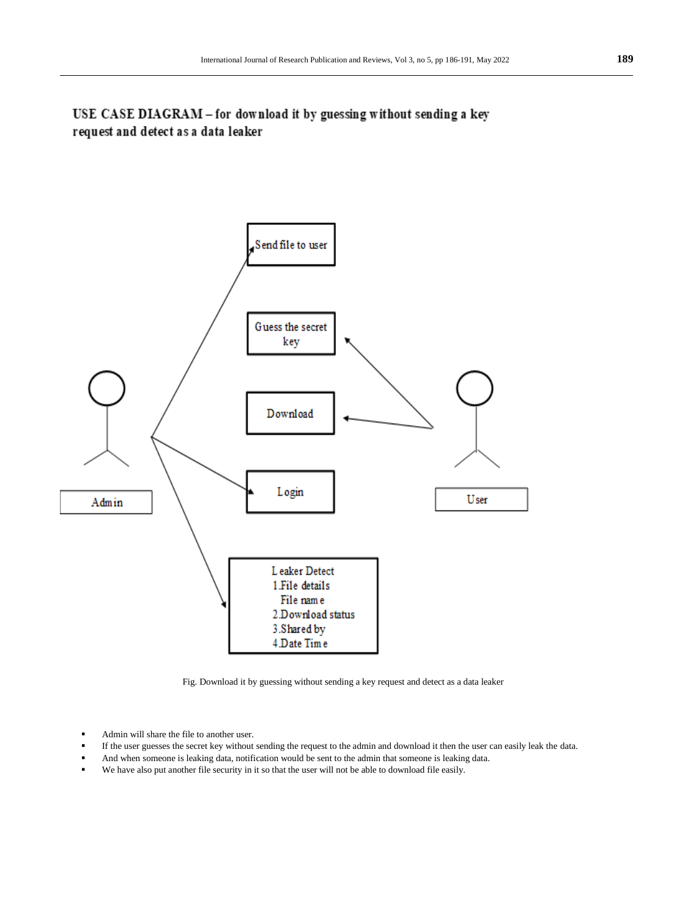USE CASE DIAGRAM - for download it by guessing without sending a key request and detect as a data leaker



Fig. Download it by guessing without sending a key request and detect as a data leaker

- Admin will share the file to another user.
- If the user guesses the secret key without sending the request to the admin and download it then the user can easily leak the data.
- And when someone is leaking data, notification would be sent to the admin that someone is leaking data.
- We have also put another file security in it so that the user will not be able to download file easily.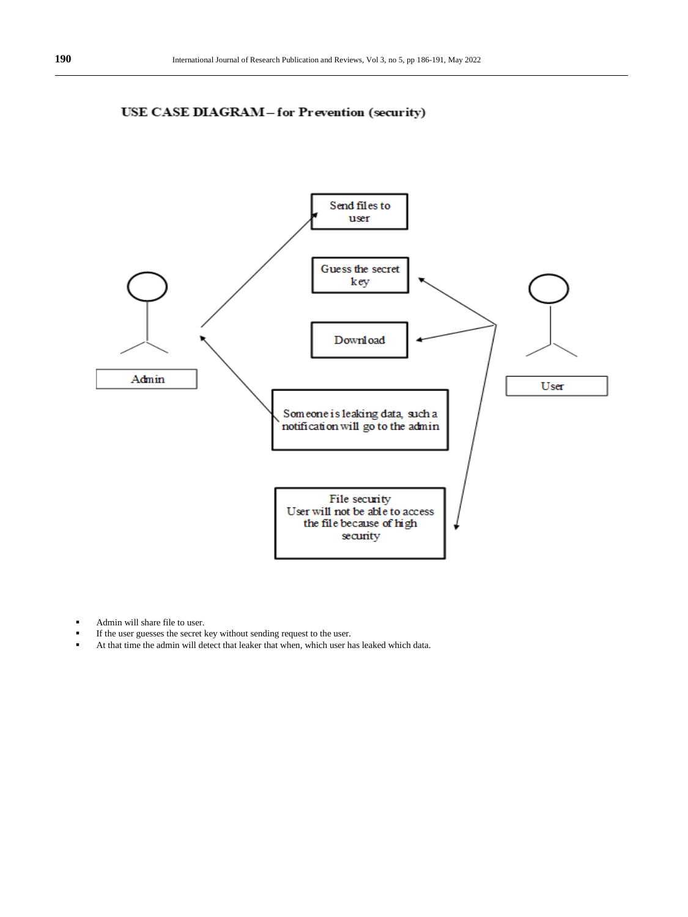



- Admin will share file to user.
- If the user guesses the secret key without sending request to the user.
- At that time the admin will detect that leaker that when, which user has leaked which data.